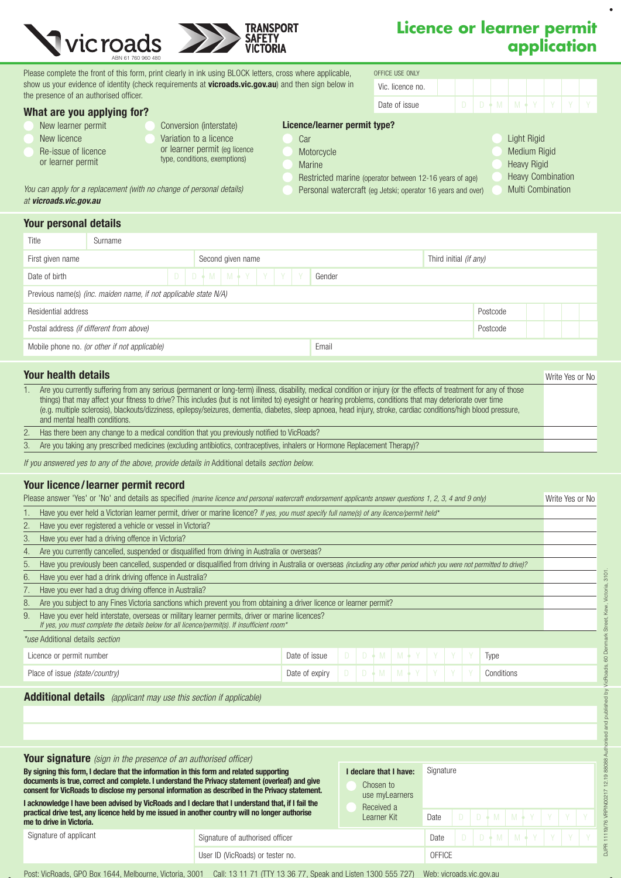

*You can apply for a replacement (with no change of personal details)* 

# **Licence or learner permit application**

Please complete the front of this form, print clearly in ink using BLOCK letters, cross where applicable, oFFICE USE ONLY show us your evidence of identity (check requirements at vicroads.vic.gov.au) and then sign below in the presence of an authorised officer.

| What are you applying for? |  |  |  |
|----------------------------|--|--|--|
|                            |  |  |  |

|  |                    | .<br>-- |  |
|--|--------------------|---------|--|
|  | New learner permit |         |  |

- New licence
- Re-issue of licence
- or learner permit

*at vicroads.vic.gov.au*

Your personal details

Variation to a licence or learner permit (eg licence type, conditions, exemptions)

Conversion (interstate)

- 
- Car Motorcycle Licence/learner permit type?
	- Marine
	- Restricted marine (operator between 12-16 years of age)
- Light Rigid Medium Rigid
- 

Vic. licence no.

Date of issue D D M M Y Y Y Y

Personal watercraft (eg Jetski; operator 16 years and over)

- Heavy Rigid
	-
- Heavy Combination Multi Combination

Type

Date of expiry D D M M Y Y Y Y Conditions

Date of issue D D M M Y Y Y Y

Your licence/learner permit record Your health details 1. Are you currently suffering from any serious (permanent or long-term) illness, disability, medical condition or injury (or the effects of treatment for any of those things) that may affect your fitness to drive? This includes (but is not limited to) eyesight or hearing problems, conditions that may deteriorate over time (e.g. multiple sclerosis), blackouts/dizziness, epilepsy/seizures, dementia, diabetes, sleep apnoea, head injury, stroke, cardiac conditions/high blood pressure, and mental health conditions. 2. Has there been any change to a medical condition that you previously notified to VicRoads? 3. Are you taking any prescribed medicines (excluding antibiotics, contraceptives, inhalers or Hormone Replacement Therapy)? *If you answered yes to any of the above, provide details in* Additional details *section below.* Write Yes or No Residential address Postcode Mobile phone no. *(or other if not applicable)* Email Postal address *(if different from above)* Postcode First given name Third initial *(if any)* Second given name Third initial *(if any)* Third initial *(if any)* Gender Previous name(s) *(inc. maiden name, if not applicable state N/A)* Title Surname Date of birth  $D \uparrow N \upharpoonright M \upharpoonright Y \upharpoonright Y \upharpoonright Y$ 

|    | Please answer 'Yes' or 'No' and details as specified <i>(marine licence and personal watercraft endorsement applicants answer questions 1, 2, 3, 4 and 9 only)</i>             | Write Yes or No |
|----|--------------------------------------------------------------------------------------------------------------------------------------------------------------------------------|-----------------|
|    | Have you ever held a Victorian learner permit, driver or marine licence? If yes, you must specify full name(s) of any licence/permit held*                                     |                 |
|    | Have you ever registered a vehicle or vessel in Victoria?                                                                                                                      |                 |
|    | Have you ever had a driving offence in Victoria?                                                                                                                               |                 |
| 4. | Are you currently cancelled, suspended or disqualified from driving in Australia or overseas?                                                                                  |                 |
| b. | Have you previously been cancelled, suspended or disqualified from driving in Australia or overseas <i>(including any other period which you were not permitted to drive)?</i> |                 |
|    | Have you ever had a drink driving offence in Australia?                                                                                                                        |                 |
|    | Have you ever had a drug driving offence in Australia?                                                                                                                         |                 |
| 8. | Are you subject to any Fines Victoria sanctions which prevent you from obtaining a driver licence or learner permit?                                                           |                 |
| 9. | Have you ever held interstate, overseas or military learner permits, driver or marine licences?                                                                                |                 |

*If yes, you must complete the details below for all licence/permit(s). If insufficient room\**

Licence or permit number *\*use* Additional details *section*

Place of issue *(state/country)*

### Additional details *(applicant may use this section if applicable)*

| <b>Your signature</b> (sign in the presence of an authorised officer)<br>By signing this form, I declare that the information in this form and related supporting<br>documents is true, correct and complete. I understand the Privacy statement (overleaf) and give<br>consent for VicRoads to disclose my personal information as described in the Privacy statement.<br>I acknowledge I have been advised by VicRoads and I declare that I understand that, if I fail the<br>practical drive test, any licence held by me issued in another country will no longer authorise<br>me to drive in Victoria. |  | declare that I have:<br>Chosen to<br>use myLearners<br>Received a<br>Learner Kit | Signature |  |  |                             |                             |  |  |  |
|-------------------------------------------------------------------------------------------------------------------------------------------------------------------------------------------------------------------------------------------------------------------------------------------------------------------------------------------------------------------------------------------------------------------------------------------------------------------------------------------------------------------------------------------------------------------------------------------------------------|--|----------------------------------------------------------------------------------|-----------|--|--|-----------------------------|-----------------------------|--|--|--|
|                                                                                                                                                                                                                                                                                                                                                                                                                                                                                                                                                                                                             |  |                                                                                  | Date      |  |  |                             | D D + M   M + Y   Y   Y   Y |  |  |  |
| Signature of applicant                                                                                                                                                                                                                                                                                                                                                                                                                                                                                                                                                                                      |  | Date                                                                             |           |  |  | $D$ $D + M$ $M + Y$ $Y$ $Y$ |                             |  |  |  |
|                                                                                                                                                                                                                                                                                                                                                                                                                                                                                                                                                                                                             |  | OFFICE                                                                           |           |  |  |                             |                             |  |  |  |

Kew, Victoria, 3101

Street,

60 Denr licRoads,